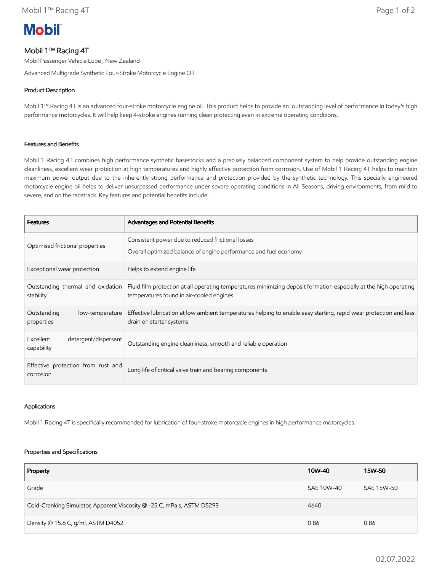# **Mobil**

## Mobil 1™ Racing 4T

Mobil Passenger Vehicle Lube , New Zealand

Advanced Multigrade Synthetic Four-Stroke Motorcycle Engine Oil

### Product Description

Mobil 1™ Racing 4T is an advanced four-stroke motorcycle engine oil. This product helps to provide an outstanding level of performance in today's high performance motorcycles. It will help keep 4-stroke engines running clean protecting even in extreme operating conditions.

#### Features and Benefits

Mobil 1 Racing 4T combines high performance synthetic basestocks and a precisely balanced component system to help provide outstanding engine cleanliness, excellent wear protection at high temperatures and highly effective protection from corrosion. Use of Mobil 1 Racing 4T helps to maintain maximum power output due to the inherently strong performance and protection provided by the synthetic technology. This specially engineered motorcycle engine oil helps to deliver unsurpassed performance under severe operating conditions in All Seasons, driving environments, from mild to severe, and on the racetrack. Key features and potential benefits include:

| <b>Features</b>                                 | Advantages and Potential Benefits                                                                                                                             |
|-------------------------------------------------|---------------------------------------------------------------------------------------------------------------------------------------------------------------|
| Optimised frictional properties                 | Consistent power due to reduced frictional losses<br>Overall optimized balance of engine performance and fuel economy                                         |
| Exceptional wear protection                     | Helps to extend engine life                                                                                                                                   |
| Outstanding thermal and oxidation<br>stability  | Fluid film protection at all operating temperatures minimizing deposit formation especially at the high operating<br>temperatures found in air-cooled engines |
| Outstanding<br>low-temperature<br>properties    | Effective lubrication at low ambient temperatures helping to enable easy starting, rapid wear protection and less<br>drain on starter systems                 |
| Excellent<br>detergent/dispersant<br>capability | Outstanding engine cleanliness, smooth and reliable operation                                                                                                 |
| Effective protection from rust and<br>corrosion | Long life of critical valve train and bearing components                                                                                                      |

#### Applications

Mobil 1 Racing 4T is specifically recommended for lubrication of four-stroke motorcycle engines in high performance motorcycles.

#### Properties and Specifications

| Property                                                               | 10W-40     | 15W-50     |
|------------------------------------------------------------------------|------------|------------|
| Grade                                                                  | SAE 10W-40 | SAE 15W-50 |
| Cold-Cranking Simulator, Apparent Viscosity @ -25 C, mPa.s, ASTM D5293 | 4640       |            |
| Density @ 15.6 C, g/ml, ASTM D4052                                     | 0.86       | 0.86       |